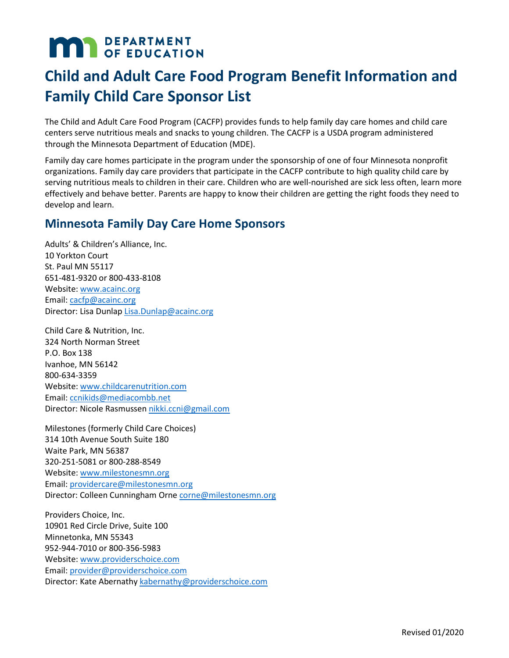# **MAR** DEPARTMENT

# **Child and Adult Care Food Program Benefit Information and Family Child Care Sponsor List**

The Child and Adult Care Food Program (CACFP) provides funds to help family day care homes and child care centers serve nutritious meals and snacks to young children. The CACFP is a USDA program administered through the Minnesota Department of Education (MDE).

 Family day care homes participate in the program under the sponsorship of one of four Minnesota nonprofit serving nutritious meals to children in their care. Children who are well-nourished are sick less often, learn more organizations. Family day care providers that participate in the CACFP contribute to high quality child care by effectively and behave better. Parents are happy to know their children are getting the right foods they need to develop and learn.

## **Minnesota Family Day Care Home Sponsors**

Adults' & Children's Alliance, Inc. 10 Yorkton Court St. Paul MN 55117 651-481-9320 or 800-433-8108 Website[: www.acainc.org](http://www.acainc.org/)  Email: [cacfp@acainc.org](mailto:cacfp@acainc.org)  Director: Lisa Dunla[p Lisa.Dunlap@acainc.org](mailto:Lisa.Dunlap@acainc.org) 

Child Care & Nutrition, Inc. 324 North Norman Street P.O. Box 138 Ivanhoe, MN 56142 800-634-3359 Website[: www.childcarenutrition.com](http://www.childcarenutrition.com/)  Email: [ccnikids@mediacombb.net](mailto:ccnikids@mediacombb.net) 

Director: Nicole Rasmussen <u>nikki.ccni@gmail.com</u><br>Milestones (formerly Child Care Choices) 314 10th Avenue South Suite 180 Waite Park, MN 56387 320-251-5081 or 800-288-8549 Website[: www.milestonesmn.org](http://www.milestonesmn.org/)  Email: [providercare@milestonesmn.org](mailto:providercare@milestonesmn.org)  Director: Colleen Cunningham Orne [corne@milestonesmn.org](mailto:corne@milestonesmn.org) 

Providers Choice, Inc. 10901 Red Circle Drive, Suite 100 Minnetonka, MN 55343 952-944-7010 or 800-356-5983 Website[: www.providerschoice.com](http://www.providerschoice.com/)  Email: [provider@providerschoice.com](mailto:provider@providerschoice.com)  Director: Kate Abernathy [kabernathy@providerschoice.com](mailto:kabernathy@providerschoice.com)